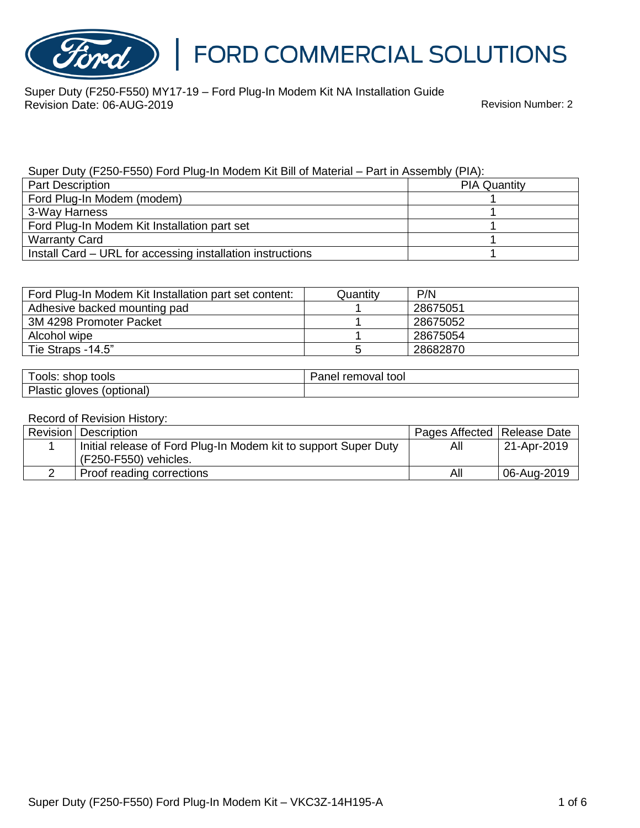

Super Duty (F250-F550) MY17-19 – Ford Plug-In Modem Kit NA Installation Guide Revision Date: 06-AUG-2019 Revision Number: 2

### Super Duty (F250-F550) Ford Plug-In Modem Kit Bill of Material – Part in Assembly (PIA):

| <b>Part Description</b>                                    | <b>PIA Quantity</b> |
|------------------------------------------------------------|---------------------|
| Ford Plug-In Modem (modem)                                 |                     |
| 3-Way Harness                                              |                     |
| Ford Plug-In Modem Kit Installation part set               |                     |
| <b>Warranty Card</b>                                       |                     |
| Install Card – URL for accessing installation instructions |                     |

| Ford Plug-In Modem Kit Installation part set content: | Quantitv | P/N      |
|-------------------------------------------------------|----------|----------|
| Adhesive backed mounting pad                          |          | 28675051 |
| 3M 4298 Promoter Packet                               |          | 28675052 |
| Alcohol wipe                                          |          | 28675054 |
| Tie Straps -14.5"                                     |          | 28682870 |

| ools: shop tools                | Panel removal tool |
|---------------------------------|--------------------|
| Plastic<br>(optional)<br>gloves |                    |

#### Record of Revision History:

| <b>Revision Description</b>                                     | Pages Affected Release Date |             |
|-----------------------------------------------------------------|-----------------------------|-------------|
| Initial release of Ford Plug-In Modem kit to support Super Duty | All                         | 21-Apr-2019 |
| (F250-F550) vehicles.                                           |                             |             |
| Proof reading corrections                                       | All                         | 06-Aug-2019 |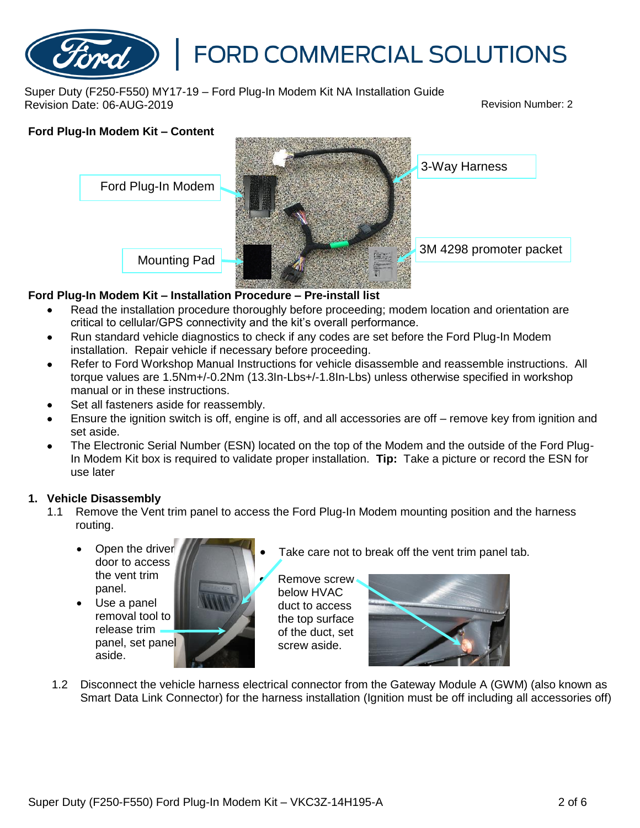

Super Duty (F250-F550) MY17-19 – Ford Plug-In Modem Kit NA Installation Guide Revision Date: 06-AUG-2019 Revision Number: 2

# **Ford Plug-In Modem Kit – Content** Mounting Pad 3-Way Harness Ford Plug-In Modem 3M 4298 promoter packet

### **Ford Plug-In Modem Kit – Installation Procedure – Pre-install list**

- Read the installation procedure thoroughly before proceeding; modem location and orientation are critical to cellular/GPS connectivity and the kit's overall performance.
- Run standard vehicle diagnostics to check if any codes are set before the Ford Plug-In Modem installation. Repair vehicle if necessary before proceeding.
- Refer to Ford Workshop Manual Instructions for vehicle disassemble and reassemble instructions. All torque values are 1.5Nm+/-0.2Nm (13.3In-Lbs+/-1.8In-Lbs) unless otherwise specified in workshop manual or in these instructions.
- Set all fasteners aside for reassembly.
- Ensure the ignition switch is off, engine is off, and all accessories are off remove key from ignition and set aside.
- The Electronic Serial Number (ESN) located on the top of the Modem and the outside of the Ford Plug-In Modem Kit box is required to validate proper installation. **Tip:** Take a picture or record the ESN for use later

### **1. Vehicle Disassembly**

- 1.1 Remove the Vent trim panel to access the Ford Plug-In Modem mounting position and the harness routing.
	- Open the driver door to access the vent trim panel.
	- Use a panel removal tool to release trim panel, set panel aside.



Take care not to break off the vent trim panel tab.

• Remove screw below HVAC duct to access the top surface of the duct, set screw aside.



1.2 Disconnect the vehicle harness electrical connector from the Gateway Module A (GWM) (also known as Smart Data Link Connector) for the harness installation (Ignition must be off including all accessories off)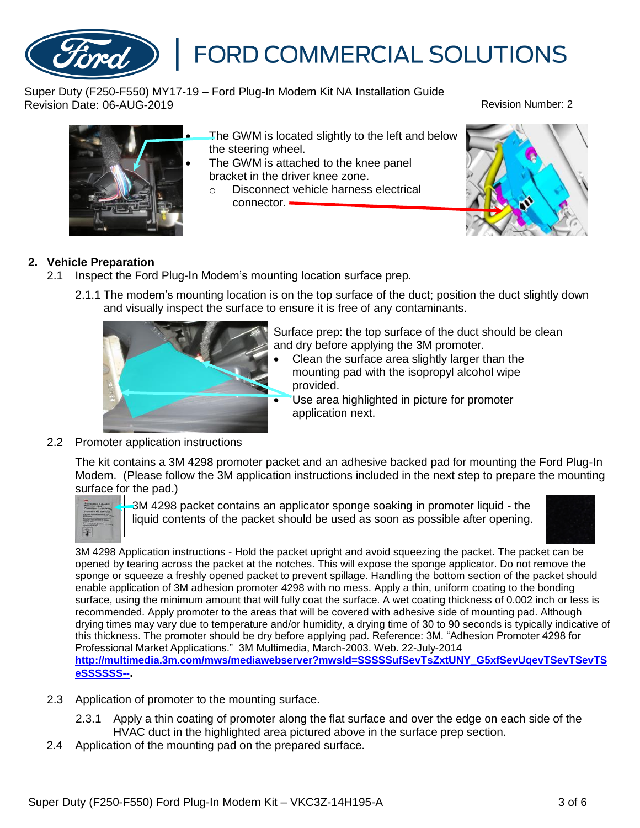Super Duty (F250-F550) MY17-19 – Ford Plug-In Modem Kit NA Installation Guide Revision Date: 06-AUG-2019 Revision Number: 2

the steering wheel.

connector. -

## **2. Vehicle Preparation**

- 2.1 Inspect the Ford Plug-In Modem's mounting location surface prep.
	- 2.1.1 The modem's mounting location is on the top surface of the duct; position the duct slightly down and visually inspect the surface to ensure it is free of any contaminants.

The GWM is attached to the knee panel

o Disconnect vehicle harness electrical

bracket in the driver knee zone.

Surface prep: the top surface of the duct should be clean and dry before applying the 3M promoter.

- Clean the surface area slightly larger than the mounting pad with the isopropyl alcohol wipe provided.
- Use area highlighted in picture for promoter application next.
- 2.2 Promoter application instructions

The kit contains a 3M 4298 promoter packet and an adhesive backed pad for mounting the Ford Plug-In Modem. (Please follow the 3M application instructions included in the next step to prepare the mounting surface for the pad.)

3M 4298 packet contains an applicator sponge soaking in promoter liquid - the liquid contents of the packet should be used as soon as possible after opening.

3M 4298 Application instructions - Hold the packet upright and avoid squeezing the packet. The packet can be opened by tearing across the packet at the notches. This will expose the sponge applicator. Do not remove the sponge or squeeze a freshly opened packet to prevent spillage. Handling the bottom section of the packet should enable application of 3M adhesion promoter 4298 with no mess. Apply a thin, uniform coating to the bonding surface, using the minimum amount that will fully coat the surface. A wet coating thickness of 0.002 inch or less is recommended. Apply promoter to the areas that will be covered with adhesive side of mounting pad. Although drying times may vary due to temperature and/or humidity, a drying time of 30 to 90 seconds is typically indicative of this thickness. The promoter should be dry before applying pad. Reference: 3M. "Adhesion Promoter 4298 for Professional Market Applications." 3M Multimedia, March-2003. Web. 22-July-2014 **[http://multimedia.3m.com/mws/mediawebserver?mwsId=SSSSSufSevTsZxtUNY\\_G5xfSevUqevTSevTSevTS](http://multimedia.3m.com/mws/mediawebserver?mwsId=SSSSSufSevTsZxtUNY_G5xfSevUqevTSevTSevTSeSSSSSS--) [eSSSSSS--](http://multimedia.3m.com/mws/mediawebserver?mwsId=SSSSSufSevTsZxtUNY_G5xfSevUqevTSevTSevTSeSSSSSS--).**

- 2.3 Application of promoter to the mounting surface.
	- 2.3.1 Apply a thin coating of promoter along the flat surface and over the edge on each side of the HVAC duct in the highlighted area pictured above in the surface prep section.
- 2.4 Application of the mounting pad on the prepared surface.





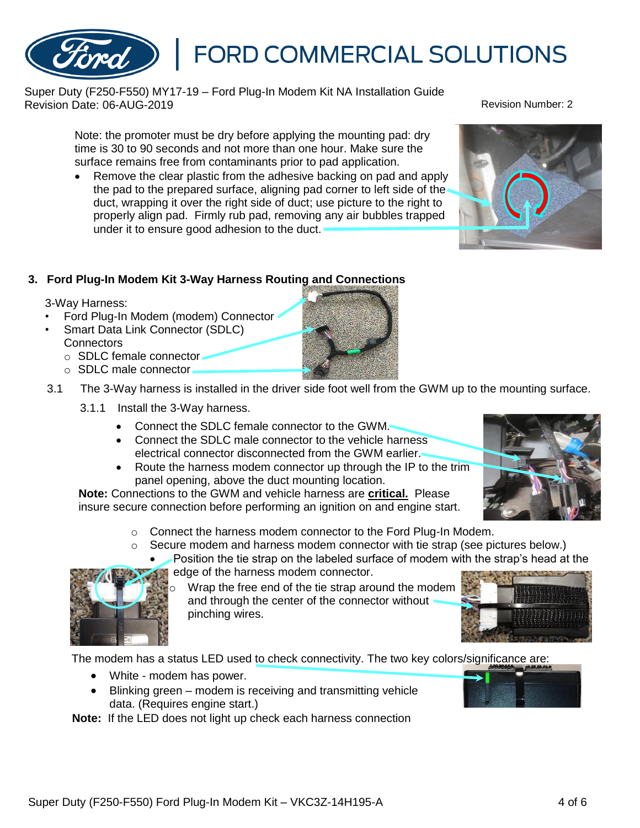Super Duty (F250-F550) MY17-19 – Ford Plug-In Modem Kit NA Installation Guide Revision Date: 06-AUG-2019 Revision Number: 2

Note: the promoter must be dry before applying the mounting pad: dry time is 30 to 90 seconds and not more than one hour. Make sure the surface remains free from contaminants prior to pad application.

• Remove the clear plastic from the adhesive backing on pad and apply the pad to the prepared surface, aligning pad corner to left side of the duct, wrapping it over the right side of duct; use picture to the right to properly align pad. Firmly rub pad, removing any air bubbles trapped

## **3. Ford Plug-In Modem Kit 3-Way Harness Routing and Connections**

under it to ensure good adhesion to the duct.

3-Way Harness:

- Ford Plug-In Modem (modem) Connector
- Smart Data Link Connector (SDLC) **Connectors** 
	- o SDLC female connector
	- o SDLC male connector
- 3.1 The 3-Way harness is installed in the driver side foot well from the GWM up to the mounting surface.
	- 3.1.1 Install the 3-Way harness.
		- Connect the SDLC female connector to the GWM.
		- Connect the SDLC male connector to the vehicle harness electrical connector disconnected from the GWM earlier.
		- Route the harness modem connector up through the IP to the trim panel opening, above the duct mounting location.

**Note:** Connections to the GWM and vehicle harness are **critical.** Please insure secure connection before performing an ignition on and engine start.

- o Connect the harness modem connector to the Ford Plug-In Modem.
- $\circ$  Secure modem and harness modem connector with tie strap (see pictures below.)
	- Position the tie strap on the labeled surface of modem with the strap's head at the edge of the harness modem connector.
		- Wrap the free end of the tie strap around the modem and through the center of the connector without pinching wires.

The modem has a status LED used to check connectivity. The two key colors/significance are:

- White modem has power.
- Blinking green modem is receiving and transmitting vehicle data. (Requires engine start.)

**Note:** If the LED does not light up check each harness connection







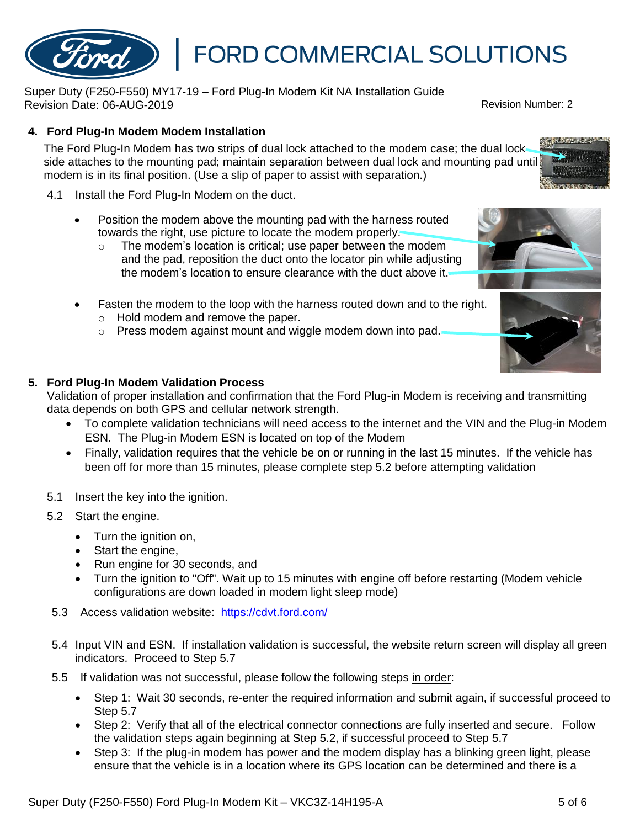## **4. Ford Plug-In Modem Modem Installation**

The Ford Plug-In Modem has two strips of dual lock attached to the modem case; the dual lock side attaches to the mounting pad; maintain separation between dual lock and mounting pad until modem is in its final position. (Use a slip of paper to assist with separation.)

- 4.1 Install the Ford Plug-In Modem on the duct.
	- Position the modem above the mounting pad with the harness routed towards the right, use picture to locate the modem properly.

Super Duty (F250-F550) MY17-19 – Ford Plug-In Modem Kit NA Installation Guide

- o The modem's location is critical; use paper between the modem and the pad, reposition the duct onto the locator pin while adjusting the modem's location to ensure clearance with the duct above it.
- Fasten the modem to the loop with the harness routed down and to the right.
	- o Hold modem and remove the paper.
	- o Press modem against mount and wiggle modem down into pad.

### **5. Ford Plug-In Modem Validation Process**

Validation of proper installation and confirmation that the Ford Plug-in Modem is receiving and transmitting data depends on both GPS and cellular network strength.

• To complete validation technicians will need access to the internet and the VIN and the Plug-in Modem ESN. The Plug-in Modem ESN is located on top of the Modem

FORD COMMERCIAL SOLUTIONS

- Finally, validation requires that the vehicle be on or running in the last 15 minutes. If the vehicle has been off for more than 15 minutes, please complete step 5.2 before attempting validation
- 5.1 Insert the key into the ignition.
- 5.2 Start the engine.
	- Turn the ignition on,
	- Start the engine,
	- Run engine for 30 seconds, and
	- Turn the ignition to "Off". Wait up to 15 minutes with engine off before restarting (Modem vehicle configurations are down loaded in modem light sleep mode)
- 5.3 Access validation website: <https://cdvt.ford.com/>
- 5.4 Input VIN and ESN. If installation validation is successful, the website return screen will display all green indicators. Proceed to Step 5.7
- 5.5 If validation was not successful, please follow the following steps in order:
	- Step 1: Wait 30 seconds, re-enter the required information and submit again, if successful proceed to Step 5.7
	- Step 2: Verify that all of the electrical connector connections are fully inserted and secure. Follow the validation steps again beginning at Step 5.2, if successful proceed to Step 5.7
	- Step 3: If the plug-in modem has power and the modem display has a blinking green light, please ensure that the vehicle is in a location where its GPS location can be determined and there is a